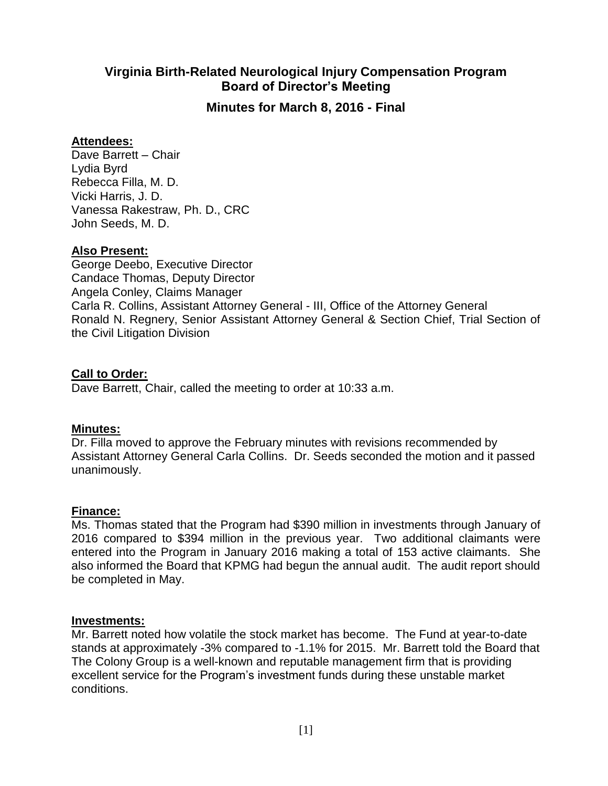## **Virginia Birth-Related Neurological Injury Compensation Program Board of Director's Meeting**

**Minutes for March 8, 2016 - Final**

## **Attendees:**

Dave Barrett – Chair Lydia Byrd Rebecca Filla, M. D. Vicki Harris, J. D. Vanessa Rakestraw, Ph. D., CRC John Seeds, M. D.

## **Also Present:**

George Deebo, Executive Director Candace Thomas, Deputy Director Angela Conley, Claims Manager Carla R. Collins, Assistant Attorney General - III, Office of the Attorney General Ronald N. Regnery, Senior Assistant Attorney General & Section Chief, Trial Section of the Civil Litigation Division

## **Call to Order:**

Dave Barrett, Chair, called the meeting to order at 10:33 a.m.

## **Minutes:**

Dr. Filla moved to approve the February minutes with revisions recommended by Assistant Attorney General Carla Collins. Dr. Seeds seconded the motion and it passed unanimously.

## **Finance:**

Ms. Thomas stated that the Program had \$390 million in investments through January of 2016 compared to \$394 million in the previous year. Two additional claimants were entered into the Program in January 2016 making a total of 153 active claimants. She also informed the Board that KPMG had begun the annual audit. The audit report should be completed in May.

## **Investments:**

Mr. Barrett noted how volatile the stock market has become. The Fund at year-to-date stands at approximately -3% compared to -1.1% for 2015. Mr. Barrett told the Board that The Colony Group is a well-known and reputable management firm that is providing excellent service for the Program's investment funds during these unstable market conditions.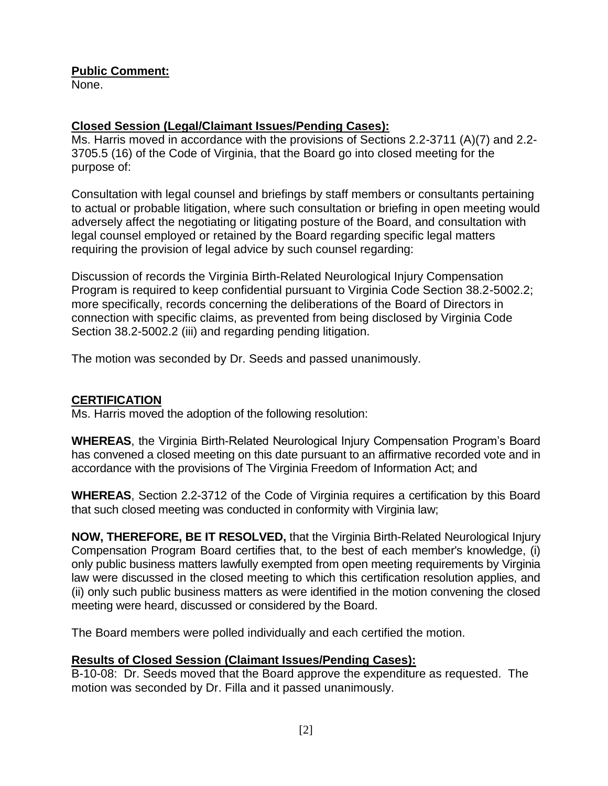**Public Comment:**

None.

# **Closed Session (Legal/Claimant Issues/Pending Cases):**

Ms. Harris moved in accordance with the provisions of Sections 2.2-3711 (A)(7) and 2.2- 3705.5 (16) of the Code of Virginia, that the Board go into closed meeting for the purpose of:

Consultation with legal counsel and briefings by staff members or consultants pertaining to actual or probable litigation, where such consultation or briefing in open meeting would adversely affect the negotiating or litigating posture of the Board, and consultation with legal counsel employed or retained by the Board regarding specific legal matters requiring the provision of legal advice by such counsel regarding:

Discussion of records the Virginia Birth-Related Neurological Injury Compensation Program is required to keep confidential pursuant to Virginia Code Section 38.2-5002.2; more specifically, records concerning the deliberations of the Board of Directors in connection with specific claims, as prevented from being disclosed by Virginia Code Section 38.2-5002.2 (iii) and regarding pending litigation.

The motion was seconded by Dr. Seeds and passed unanimously.

## **CERTIFICATION**

Ms. Harris moved the adoption of the following resolution:

**WHEREAS**, the Virginia Birth-Related Neurological Injury Compensation Program's Board has convened a closed meeting on this date pursuant to an affirmative recorded vote and in accordance with the provisions of The Virginia Freedom of Information Act; and

**WHEREAS**, Section 2.2-3712 of the Code of Virginia requires a certification by this Board that such closed meeting was conducted in conformity with Virginia law;

**NOW, THEREFORE, BE IT RESOLVED,** that the Virginia Birth-Related Neurological Injury Compensation Program Board certifies that, to the best of each member's knowledge, (i) only public business matters lawfully exempted from open meeting requirements by Virginia law were discussed in the closed meeting to which this certification resolution applies, and (ii) only such public business matters as were identified in the motion convening the closed meeting were heard, discussed or considered by the Board.

The Board members were polled individually and each certified the motion.

# **Results of Closed Session (Claimant Issues/Pending Cases):**

B-10-08: Dr. Seeds moved that the Board approve the expenditure as requested. The motion was seconded by Dr. Filla and it passed unanimously.